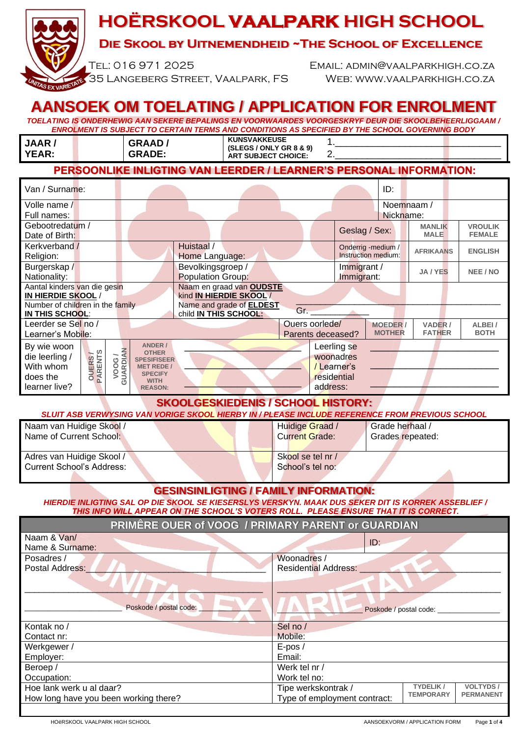# **HOËRSKOOL VAALPARK HIGH SCHOOL**

## **Die Skool by Uitnemendheid ~The School of Excellence**

Tel: 016 971 2025 Email: admin@vaalparkhigh.co.za 35 Langeberg Street, Vaalpark, FS Web: [www.vaalparkhigh.co.za](http://www.vaalparkhigh.co.za/)

**IETATE** 

# **AANSOEK OM TOELATING / APPLICATION FOR ENROLMENT**

*TOELATING IS ONDERHEWIG AAN SEKERE BEPALINGS EN VOORWAARDES VOORGESKRYF DEUR DIE SKOOLBEHEERLIGGAAM / ENROLMENT IS SUBJECT TO CERTAIN TERMS AND CONDITIONS AS SPECIFIED BY THE SCHOOL GOVERNING BODY*

| <b>JAAR</b><br>YEAR:                                                       | <b>GRAAD</b><br><b>GRADE:</b> | KUNSVAKKEUSE<br>(SLEGS / ONLY GR 8 & 9)<br><b>ART SUBJECT CHOICE:</b> |  |  |  |  |  |
|----------------------------------------------------------------------------|-------------------------------|-----------------------------------------------------------------------|--|--|--|--|--|
| <b>PERSOONLIKE INLIGTING VAN LEERDER / LEARNER'S PERSONAL INFORMATION:</b> |                               |                                                                       |  |  |  |  |  |

| Van / Surname:                                           |                          |                                     |                                                          |                |                                  | ID:                      |                       |                |
|----------------------------------------------------------|--------------------------|-------------------------------------|----------------------------------------------------------|----------------|----------------------------------|--------------------------|-----------------------|----------------|
| Volle name /                                             |                          |                                     |                                                          |                |                                  | Noemnaam /               |                       |                |
| Full names:                                              |                          |                                     |                                                          |                |                                  | Nickname:                |                       |                |
| Gebootredatum /                                          |                          |                                     |                                                          |                | Geslag / Sex:                    |                          | <b>MANLIK</b>         | <b>VROULIK</b> |
| Date of Birth:                                           |                          |                                     |                                                          |                |                                  |                          | <b>MALE</b>           | <b>FEMALE</b>  |
| Kerkverband /                                            |                          |                                     | Huistaal /                                               |                |                                  | Onderrig -medium /       | <b>AFRIKAANS</b>      | <b>ENGLISH</b> |
| Religion:                                                |                          |                                     | Home Language:                                           |                |                                  | Instruction medium:      |                       |                |
| Burgerskap /                                             |                          |                                     | Bevolkingsgroep /                                        |                | Immigrant /                      |                          | JA / YES              | NEE / NO       |
| Nationality:                                             |                          |                                     | <b>Population Group:</b>                                 |                | Immigrant:                       |                          |                       |                |
| Naam en graad van OUDSTE<br>Aantal kinders van die gesin |                          |                                     |                                                          |                |                                  |                          |                       |                |
| kind IN HIERDIE SKOOL/<br>IN HIERDIE SKOOL/              |                          |                                     |                                                          |                |                                  |                          |                       |                |
| Number of children in the family<br>IN THIS SCHOOL:      |                          |                                     | Name and grade of <b>ELDEST</b><br>child IN THIS SCHOOL: | Gr.            |                                  |                          |                       |                |
| Leerder se Sel no /                                      |                          |                                     |                                                          | Ouers oorlede/ |                                  |                          |                       |                |
| Learner's Mob <mark>il</mark> e:                         |                          |                                     | Parents deceased?                                        |                | <b>MOEDER /</b><br><b>MOTHER</b> | VADER /<br><b>FATHER</b> | ALBEI/<br><b>BOTH</b> |                |
|                                                          |                          |                                     |                                                          |                |                                  |                          |                       |                |
| By wie woon                                              |                          | <b>ANDER /</b><br><b>OTHER</b>      |                                                          |                | Leerling se                      |                          |                       |                |
| <b>OUERS/</b><br>PARENTS<br>die leerling /               | <b>VOOG /<br/>ARDIAN</b> | <b>SPESIFISEER</b>                  |                                                          |                | woonadres                        |                          |                       |                |
| With whom                                                |                          | <b>MET REDE /</b><br><b>SPECIFY</b> |                                                          |                | /Learner's                       |                          |                       |                |
| does the                                                 | ∍                        | <b>WITH</b>                         |                                                          |                | residential                      |                          |                       |                |
| learner live?                                            |                          | <b>REASON:</b>                      |                                                          |                | address:                         |                          |                       |                |

**SKOOLGESKIEDENIS / SCHOOL HISTORY:**

| SLUIT ASB VERWYSING VAN VORIGE SKOOL HIERBY IN / PLEASE INCLUDE REFERENCE FROM PREVIOUS SCHOOL |                       |                  |
|------------------------------------------------------------------------------------------------|-----------------------|------------------|
| Naam van Huidige Skool /                                                                       | Huidige Graad /       | Grade herhaal /  |
| Name of Current School:                                                                        | <b>Current Grade:</b> | Grades repeated: |
|                                                                                                |                       |                  |
| Adres van Huidige Skool /                                                                      | Skool se tel nr /     |                  |
| <b>Current School's Address:</b>                                                               | School's tel no:      |                  |
|                                                                                                |                       |                  |

#### **GESINSINLIGTING / FAMILY INFORMATION:**

*HIERDIE INLIGTING SAL OP DIE SKOOL SE KIESERSLYS VERSKYN. MAAK DUS SEKER DIT IS KORREK ASSEBLIEF / THIS INFO WILL APPEAR ON THE SCHOOL'S VOTERS ROLL. PLEASE ENSURE THAT IT IS CORRECT.*

**PRIMÊRE OUER of VOOG / PRIMARY PARENT or GUARDIAN**

| Naam & Van/                           |                              |                                      |                 |  |
|---------------------------------------|------------------------------|--------------------------------------|-----------------|--|
| Name & Surname:                       | ID:                          |                                      |                 |  |
| Posadres /                            | Woonadres /                  |                                      |                 |  |
| Postal Address:                       | <b>Residential Address:</b>  |                                      |                 |  |
| Poskode / postal code:                | Poskode / postal code:       |                                      |                 |  |
| Kontak no /                           | Sel no /                     |                                      |                 |  |
| Contact nr:                           | Mobile:                      |                                      |                 |  |
| Werkgewer /                           | $E-pos/$                     |                                      |                 |  |
| Employer:                             | Email:                       |                                      |                 |  |
| Beroep /                              | Werk tel nr /                |                                      |                 |  |
| Occupation:                           | Work tel no:                 |                                      |                 |  |
| Hoe lank werk u al daar?              | Tipe werkskontrak /          | <b>TYDELIK/</b>                      | <b>VOLTYDS/</b> |  |
| How long have you been working there? | Type of employment contract: | <b>TEMPORARY</b><br><b>PERMANENT</b> |                 |  |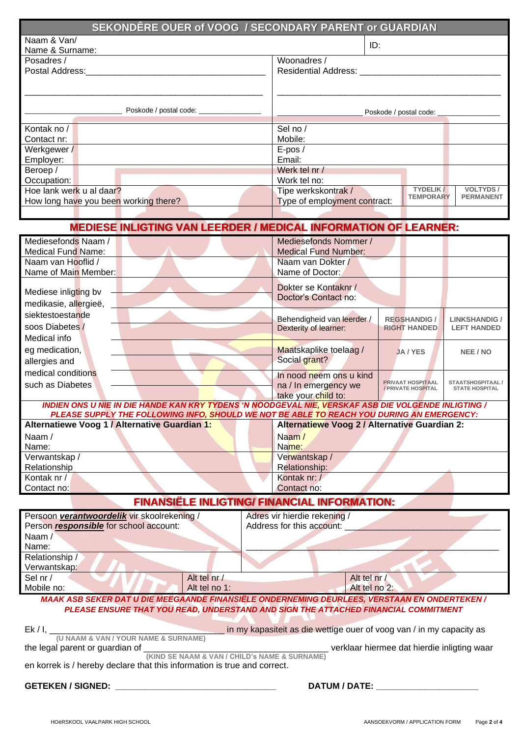| <b>SEKONDÊRE OUER of VOOG / SECONDARY PARENT or GUARDIAN</b> |                                                                      |  |  |  |  |
|--------------------------------------------------------------|----------------------------------------------------------------------|--|--|--|--|
| Naam & Van/                                                  | ID:                                                                  |  |  |  |  |
| Name & Surname:                                              |                                                                      |  |  |  |  |
| Posadres /                                                   | Woonadres /                                                          |  |  |  |  |
| Postal Address:                                              | Residential Address: ____                                            |  |  |  |  |
|                                                              |                                                                      |  |  |  |  |
|                                                              |                                                                      |  |  |  |  |
|                                                              |                                                                      |  |  |  |  |
| Poskode / postal code: ___________                           | Poskode / postal code:                                               |  |  |  |  |
| Kontak no /                                                  | Sel no /                                                             |  |  |  |  |
| Contact nr:                                                  | Mobile:                                                              |  |  |  |  |
| Werkgewer /                                                  | $E-pos/$                                                             |  |  |  |  |
| Employer:                                                    | Email:                                                               |  |  |  |  |
| Beroep /                                                     | Werk tel nr /                                                        |  |  |  |  |
| Occupation:                                                  | Work tel no:                                                         |  |  |  |  |
| Hoe lank werk u al daar?                                     | <b>TYDELIK/</b><br><b>VOLTYDS/</b><br>Tipe werkskontrak /            |  |  |  |  |
| How long have you been working there?                        | <b>TEMPORARY</b><br><b>PERMANENT</b><br>Type of employment contract: |  |  |  |  |
|                                                              |                                                                      |  |  |  |  |

| <b>MEDIESE INLIGTING VAN LEERDER / MEDICAL INFORMATION OF LEARNER:</b>                              |  |                                                                                                                                            |                                                |                                                  |  |  |
|-----------------------------------------------------------------------------------------------------|--|--------------------------------------------------------------------------------------------------------------------------------------------|------------------------------------------------|--------------------------------------------------|--|--|
| Mediesefonds Naam /                                                                                 |  | Mediesefonds Nommer /                                                                                                                      |                                                |                                                  |  |  |
| <b>Medical Fund Name:</b>                                                                           |  | <b>Medical Fund Number:</b>                                                                                                                |                                                |                                                  |  |  |
| Naam van Hooflid /                                                                                  |  | Naam van Dokter /                                                                                                                          |                                                |                                                  |  |  |
| Name of Main Member:                                                                                |  | Name of Doctor:                                                                                                                            |                                                |                                                  |  |  |
|                                                                                                     |  | Dokter se Kontaknr /                                                                                                                       |                                                |                                                  |  |  |
| Mediese inligting bv                                                                                |  | Doctor's Contact no:                                                                                                                       |                                                |                                                  |  |  |
| medikasie, allergieë,                                                                               |  |                                                                                                                                            |                                                |                                                  |  |  |
| siektestoestande                                                                                    |  | Behendigheid van leerder /                                                                                                                 | <b>REGSHANDIG /</b>                            | <b>LINKSHANDIG /</b>                             |  |  |
| soos Diabetes/                                                                                      |  | Dexterity of learner:                                                                                                                      | <b>RIGHT HANDED</b>                            | <b>LEFT HANDED</b>                               |  |  |
| Medical info                                                                                        |  |                                                                                                                                            |                                                |                                                  |  |  |
| eg medication,                                                                                      |  | Maatskaplike toelaag /                                                                                                                     | <b>JA/YES</b>                                  | NEE / NO                                         |  |  |
| allergies and                                                                                       |  | Social grant?                                                                                                                              |                                                |                                                  |  |  |
| medical conditions                                                                                  |  | In nood neem ons u kind                                                                                                                    |                                                |                                                  |  |  |
| such as Diabetes                                                                                    |  | na / In emergency we                                                                                                                       | <b>PRIVAAT HOSPITAAL</b><br>/ PRIVATE HOSPITAL | <b>STAATSHOSPITAAL/</b><br><b>STATE HOSPITAL</b> |  |  |
|                                                                                                     |  | take your child to:                                                                                                                        |                                                |                                                  |  |  |
| INDIEN ONS U NIE IN DIE HANDE KAN KRY TYDENS 'N NOODGEVAL NIE, VERSKAF ASB DIE VOLGENDE INLIGTING / |  |                                                                                                                                            |                                                |                                                  |  |  |
| Alternatiewe Voog 1 / Alternative Guardian 1:                                                       |  | PLEASE SUPPLY THE FOLLOWING INFO, SHOULD WE NOT BE ABLE TO REACH YOU DURING AN EMERGENCY:<br>Alternatiewe Voog 2 / Alternative Guardian 2: |                                                |                                                  |  |  |
|                                                                                                     |  |                                                                                                                                            |                                                |                                                  |  |  |
| Naam /<br>Name:                                                                                     |  | Naam/<br>Name:                                                                                                                             |                                                |                                                  |  |  |
| Verwantskap /                                                                                       |  | Verwantskap /                                                                                                                              |                                                |                                                  |  |  |
| Relationship                                                                                        |  | Relationship:                                                                                                                              |                                                |                                                  |  |  |
| Kontak nr /                                                                                         |  | Kontak nr: /                                                                                                                               |                                                |                                                  |  |  |
| Contact no:                                                                                         |  | Contact no:                                                                                                                                |                                                |                                                  |  |  |
| <b>FINANSIËLE INLIGTING/ FINANCIAL INFORMATION:</b>                                                 |  |                                                                                                                                            |                                                |                                                  |  |  |
| Persoon verantwoordelik vir skoolrekening /                                                         |  | Adres vir hierdie rekening /                                                                                                               |                                                |                                                  |  |  |
| Person responsible for school account:                                                              |  | Address for this account:                                                                                                                  |                                                |                                                  |  |  |
| Naam /                                                                                              |  |                                                                                                                                            |                                                |                                                  |  |  |
| Name:                                                                                               |  |                                                                                                                                            |                                                |                                                  |  |  |
| Relationship /                                                                                      |  |                                                                                                                                            |                                                |                                                  |  |  |
| Verwantskap:                                                                                        |  |                                                                                                                                            |                                                |                                                  |  |  |
| Alt tel nr /<br>Sel nr /                                                                            |  | Alt tel nr /                                                                                                                               |                                                |                                                  |  |  |
| Mobile no:<br>Alt tel no 1:                                                                         |  | Alt tel no 2:                                                                                                                              |                                                |                                                  |  |  |
| <b>MAAK ASB SEKER DAT U DIE MEEGAANDE FINANSIËLE ONDERNEMING DEURLEES, VERSTAAN EN ONDERTEKEN /</b> |  |                                                                                                                                            |                                                |                                                  |  |  |
| PLEASE ENSURE THAT YOU READ, UNDERSTAND AND SIGN THE ATTACHED FINANCIAL COMMITMENT                  |  |                                                                                                                                            |                                                |                                                  |  |  |
| in my kapasiteit as die wettige ouer of voog van / in my capacity as<br>$Ek/1$ ,                    |  |                                                                                                                                            |                                                |                                                  |  |  |
| (U NAAM & VAN / YOUR NAME & SURNAME)                                                                |  |                                                                                                                                            |                                                |                                                  |  |  |

the legal parent or guardian of \_\_\_\_\_\_\_\_\_\_\_\_\_\_\_\_\_\_\_\_\_\_\_\_\_\_\_\_\_\_\_\_\_\_\_\_\_\_ verklaar hiermee dat hierdie inligting waar **(KIND SE NAAM & VAN / CHILD's NAME & SURNAME)**

en korrek is / hereby declare that this information is true and correct.

**GETEKEN / SIGNED: \_\_\_\_\_\_\_\_\_\_\_\_\_\_\_\_\_\_\_\_\_\_\_\_\_\_\_\_\_\_\_\_\_ DATUM / DATE: \_\_\_\_\_\_\_\_\_\_\_\_\_\_\_\_\_\_\_\_\_**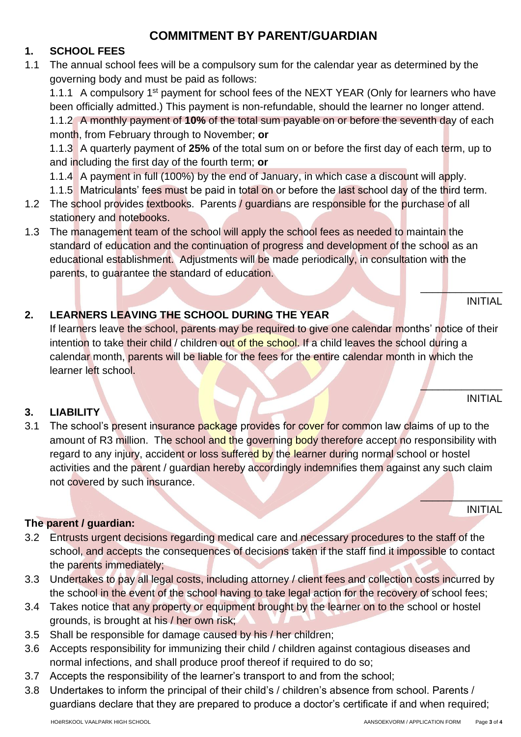# **COMMITMENT BY PARENT/GUARDIAN**

### **1. SCHOOL FEES**

1.1 The annual school fees will be a compulsory sum for the calendar year as determined by the governing body and must be paid as follows:

1.1.1 A compulsory 1<sup>st</sup> payment for school fees of the NEXT YEAR (Only for learners who have been officially admitted.) This payment is non-refundable, should the learner no longer attend. 1.1.2 A monthly payment of **10%** of the total sum payable on or before the seventh day of each

month, from February through to November; **or**

1.1.3 A quarterly payment of **25%** of the total sum on or before the first day of each term, up to and including the first day of the fourth term; **or**

1.1.4 A payment in full (100%) by the end of January, in which case a discount will apply.

- 1.1.5 Matriculants' fees must be paid in total on or before the last school day of the third term.
- 1.2 The school provides textbooks. Parents / quardians are responsible for the purchase of all stationery and notebooks.
- 1.3 The management team of the school will apply the school fees as needed to maintain the standard of education and the continuation of progress and development of the school as an educational establishment. Adjustments will be made periodically, in consultation with the parents, to guarantee the standard of education.

## **2. LEARNERS LEAVING THE SCHOOL DURING THE YEAR**

If learners leave the school, parents may be required to give one calendar months' notice of their intention to take their child / children out of the school. If a child leaves the school during a calendar month, parents will be liable for the fees for the entire calendar month in which the learner left school.

#### **3. LIABILITY**

3.1 The school's present insurance package provides for cover for common law claims of up to the amount of R3 million. The school and the governing body therefore accept no responsibility with regard to any injury, accident or loss suffered by the learner during normal school or hostel activities and the parent / guardian hereby accordingly indemnifies them against any such claim not covered by such insurance.

#### **The parent / guardian:**

- 3.2 Entrusts urgent decisions regarding medical care and necessary procedures to the staff of the school, and accepts the consequences of decisions taken if the staff find it impossible to contact the parents immediately;
- 3.3 Undertakes to pay all legal costs, including attorney / client fees and collection costs incurred by the school in the event of the school having to take legal action for the recovery of school fees;
- 3.4 Takes notice that any property or equipment brought by the learner on to the school or hostel grounds, is brought at his / her own risk;
- 3.5 Shall be responsible for damage caused by his / her children;
- 3.6 Accepts responsibility for immunizing their child / children against contagious diseases and normal infections, and shall produce proof thereof if required to do so;
- 3.7 Accepts the responsibility of the learner's transport to and from the school;
- 3.8 Undertakes to inform the principal of their child's / children's absence from school. Parents / guardians declare that they are prepared to produce a doctor's certificate if and when required;

#### HOëRSKOOL VAALPARK HIGH SCHOOL AANSOEKVORM / APPLICATION FORM Page **3** of **4**

INITIAL

INITIAL

INITIAL

 $\overline{\phantom{a}}$  ,  $\overline{\phantom{a}}$  ,  $\overline{\phantom{a}}$  ,  $\overline{\phantom{a}}$  ,  $\overline{\phantom{a}}$  ,  $\overline{\phantom{a}}$ 

 $\mathbb{A}$ 

 $\frac{1}{2}$  , where  $\frac{1}{2}$